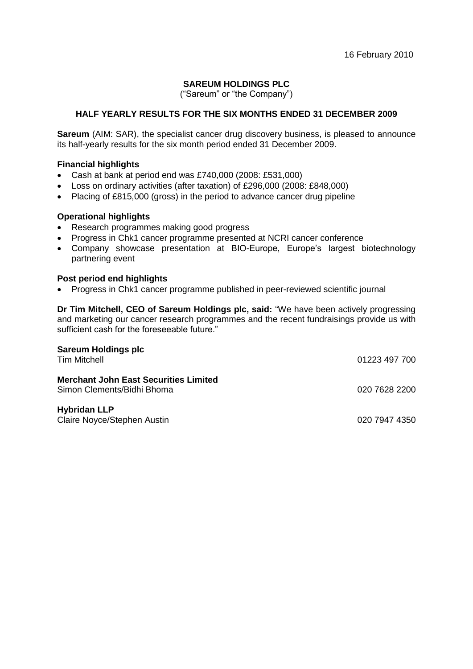16 February 2010

## **SAREUM HOLDINGS PLC**

("Sareum" or "the Company")

## **HALF YEARLY RESULTS FOR THE SIX MONTHS ENDED 31 DECEMBER 2009**

**Sareum** (AIM: SAR), the specialist cancer drug discovery business, is pleased to announce its half-yearly results for the six month period ended 31 December 2009.

### **Financial highlights**

- Cash at bank at period end was £740,000 (2008: £531,000)
- Loss on ordinary activities (after taxation) of £296,000 (2008: £848,000)
- Placing of £815,000 (gross) in the period to advance cancer drug pipeline

## **Operational highlights**

- Research programmes making good progress
- Progress in Chk1 cancer programme presented at NCRI cancer conference
- Company showcase presentation at BIO-Europe, Europe's largest biotechnology partnering event

### **Post period end highlights**

Progress in Chk1 cancer programme published in peer-reviewed scientific journal

**Dr Tim Mitchell, CEO of Sareum Holdings plc, said:** "We have been actively progressing and marketing our cancer research programmes and the recent fundraisings provide us with sufficient cash for the foreseeable future."

| <b>Sareum Holdings plc</b><br><b>Tim Mitchell</b>                          | 01223 497 700 |
|----------------------------------------------------------------------------|---------------|
| <b>Merchant John East Securities Limited</b><br>Simon Clements/Bidhi Bhoma | 020 7628 2200 |
| <b>Hybridan LLP</b><br>Claire Noyce/Stephen Austin                         | 020 7947 4350 |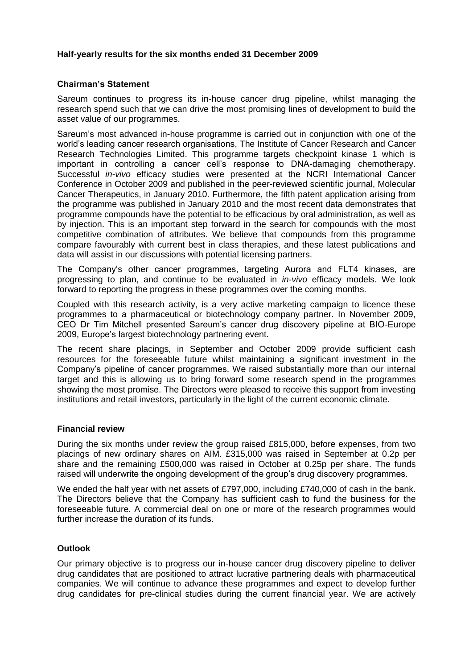### **Half-yearly results for the six months ended 31 December 2009**

### **Chairman's Statement**

Sareum continues to progress its in-house cancer drug pipeline, whilst managing the research spend such that we can drive the most promising lines of development to build the asset value of our programmes.

Sareum's most advanced in-house programme is carried out in conjunction with one of the world's leading cancer research organisations, The Institute of Cancer Research and Cancer Research Technologies Limited. This programme targets checkpoint kinase 1 which is important in controlling a cancer cell's response to DNA-damaging chemotherapy. Successful *in-vivo* efficacy studies were presented at the NCRI International Cancer Conference in October 2009 and published in the peer-reviewed scientific journal, Molecular Cancer Therapeutics, in January 2010. Furthermore, the fifth patent application arising from the programme was published in January 2010 and the most recent data demonstrates that programme compounds have the potential to be efficacious by oral administration, as well as by injection. This is an important step forward in the search for compounds with the most competitive combination of attributes. We believe that compounds from this programme compare favourably with current best in class therapies, and these latest publications and data will assist in our discussions with potential licensing partners.

The Company's other cancer programmes, targeting Aurora and FLT4 kinases, are progressing to plan, and continue to be evaluated in *in-vivo* efficacy models. We look forward to reporting the progress in these programmes over the coming months.

Coupled with this research activity, is a very active marketing campaign to licence these programmes to a pharmaceutical or biotechnology company partner. In November 2009, CEO Dr Tim Mitchell presented Sareum's cancer drug discovery pipeline at BIO-Europe 2009, Europe's largest biotechnology partnering event.

The recent share placings, in September and October 2009 provide sufficient cash resources for the foreseeable future whilst maintaining a significant investment in the Company's pipeline of cancer programmes. We raised substantially more than our internal target and this is allowing us to bring forward some research spend in the programmes showing the most promise. The Directors were pleased to receive this support from investing institutions and retail investors, particularly in the light of the current economic climate.

#### **Financial review**

During the six months under review the group raised £815,000, before expenses, from two placings of new ordinary shares on AIM. £315,000 was raised in September at 0.2p per share and the remaining £500,000 was raised in October at 0.25p per share. The funds raised will underwrite the ongoing development of the group's drug discovery programmes.

We ended the half year with net assets of £797,000, including £740,000 of cash in the bank. The Directors believe that the Company has sufficient cash to fund the business for the foreseeable future. A commercial deal on one or more of the research programmes would further increase the duration of its funds.

## **Outlook**

Our primary objective is to progress our in-house cancer drug discovery pipeline to deliver drug candidates that are positioned to attract lucrative partnering deals with pharmaceutical companies. We will continue to advance these programmes and expect to develop further drug candidates for pre-clinical studies during the current financial year. We are actively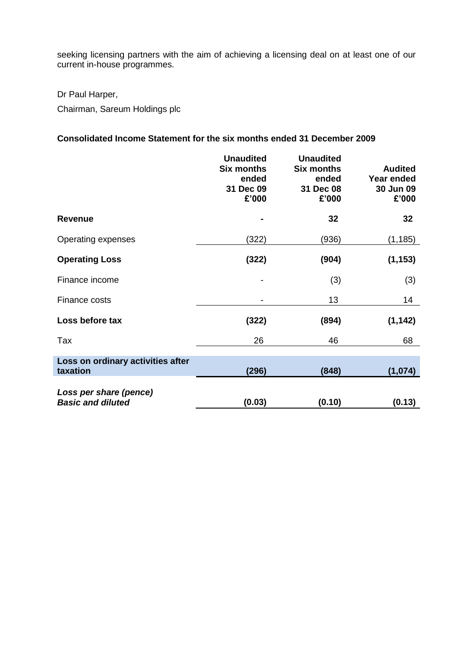seeking licensing partners with the aim of achieving a licensing deal on at least one of our current in-house programmes.

Dr Paul Harper,

Chairman, Sareum Holdings plc

# **Consolidated Income Statement for the six months ended 31 December 2009**

|                                                    | <b>Unaudited</b><br><b>Six months</b><br>ended<br>31 Dec 09<br>£'000 | <b>Unaudited</b><br><b>Six months</b><br>ended<br>31 Dec 08<br>£'000 | <b>Audited</b><br><b>Year ended</b><br>30 Jun 09<br>£'000 |
|----------------------------------------------------|----------------------------------------------------------------------|----------------------------------------------------------------------|-----------------------------------------------------------|
| <b>Revenue</b>                                     | ۰                                                                    | 32                                                                   | 32                                                        |
| Operating expenses                                 | (322)                                                                | (936)                                                                | (1, 185)                                                  |
| <b>Operating Loss</b>                              | (322)                                                                | (904)                                                                | (1, 153)                                                  |
| Finance income                                     | $\qquad \qquad \blacksquare$                                         | (3)                                                                  | (3)                                                       |
| Finance costs                                      |                                                                      | 13                                                                   | 14                                                        |
| Loss before tax                                    | (322)                                                                | (894)                                                                | (1, 142)                                                  |
| Tax                                                | 26                                                                   | 46                                                                   | 68                                                        |
| Loss on ordinary activities after<br>taxation      | (296)                                                                | (848)                                                                | (1,074)                                                   |
| Loss per share (pence)<br><b>Basic and diluted</b> | (0.03)                                                               | (0.10)                                                               | (0.13)                                                    |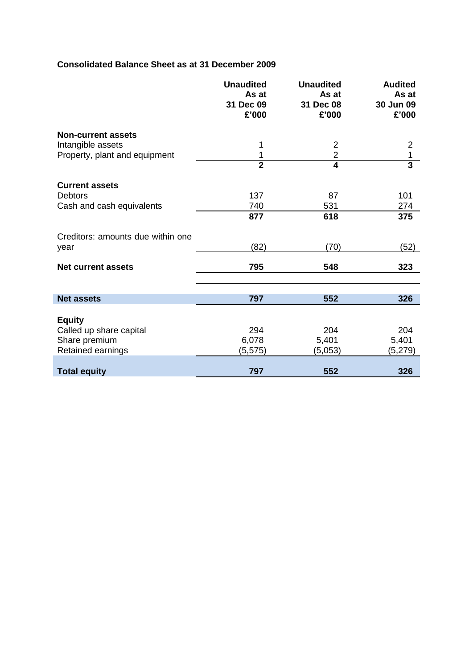## **Consolidated Balance Sheet as at 31 December 2009**

I

|                                   | <b>Unaudited</b><br>As at<br>31 Dec 09<br>£'000 | <b>Unaudited</b><br>As at<br>31 Dec 08<br>£'000 | <b>Audited</b><br>As at<br>30 Jun 09<br>£'000 |
|-----------------------------------|-------------------------------------------------|-------------------------------------------------|-----------------------------------------------|
| <b>Non-current assets</b>         |                                                 |                                                 |                                               |
| Intangible assets                 | 1                                               | $\overline{2}$                                  | $\overline{2}$                                |
| Property, plant and equipment     | 1                                               | $\overline{2}$                                  | 1                                             |
|                                   | $\overline{2}$                                  | $\overline{\mathbf{4}}$                         | $\overline{\mathbf{3}}$                       |
| <b>Current assets</b>             |                                                 |                                                 |                                               |
| <b>Debtors</b>                    | 137                                             | 87                                              | 101                                           |
| Cash and cash equivalents         | 740                                             | 531                                             | 274                                           |
|                                   | 877                                             | 618                                             | 375                                           |
| Creditors: amounts due within one |                                                 |                                                 |                                               |
| year                              | (82)                                            | (70)                                            | (52)                                          |
| <b>Net current assets</b>         | 795                                             | 548                                             | 323                                           |
|                                   |                                                 |                                                 |                                               |
| <b>Net assets</b>                 | 797                                             | 552                                             | 326                                           |
| <b>Equity</b>                     |                                                 |                                                 |                                               |
| Called up share capital           | 294                                             | 204                                             | 204                                           |
| Share premium                     | 6,078                                           | 5,401                                           | 5,401                                         |
| Retained earnings                 | (5,575)                                         | (5,053)                                         | (5,279)                                       |
| <b>Total equity</b>               | 797                                             | 552                                             | 326                                           |
|                                   |                                                 |                                                 |                                               |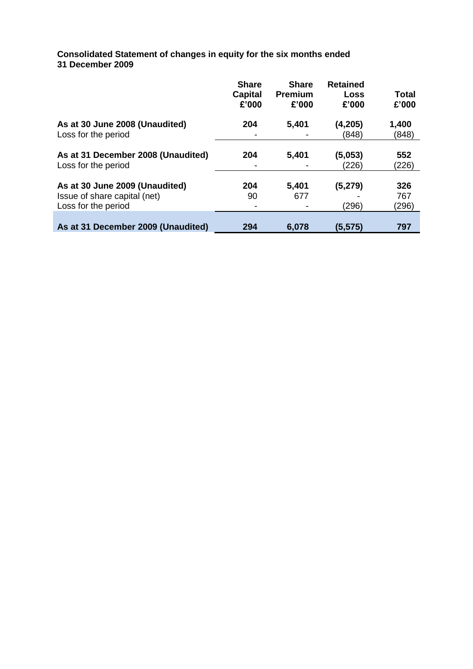**Consolidated Statement of changes in equity for the six months ended 31 December 2009**

|                                                                                       | <b>Share</b><br>Capital<br>£'000 | <b>Share</b><br><b>Premium</b><br>£'000 | <b>Retained</b><br>Loss<br>£'000 | Total<br>£'000      |
|---------------------------------------------------------------------------------------|----------------------------------|-----------------------------------------|----------------------------------|---------------------|
| As at 30 June 2008 (Unaudited)<br>Loss for the period                                 | 204                              | 5,401                                   | (4, 205)<br>(848)                | 1,400<br>(848)      |
| As at 31 December 2008 (Unaudited)<br>Loss for the period                             | 204                              | 5,401                                   | (5,053)<br>(226)                 | 552<br>(226)        |
| As at 30 June 2009 (Unaudited)<br>Issue of share capital (net)<br>Loss for the period | 204<br>90                        | 5,401<br>677                            | (5, 279)<br>(296)                | 326<br>767<br>(296) |
| As at 31 December 2009 (Unaudited)                                                    | 294                              | 6,078                                   | (5, 575)                         | 797                 |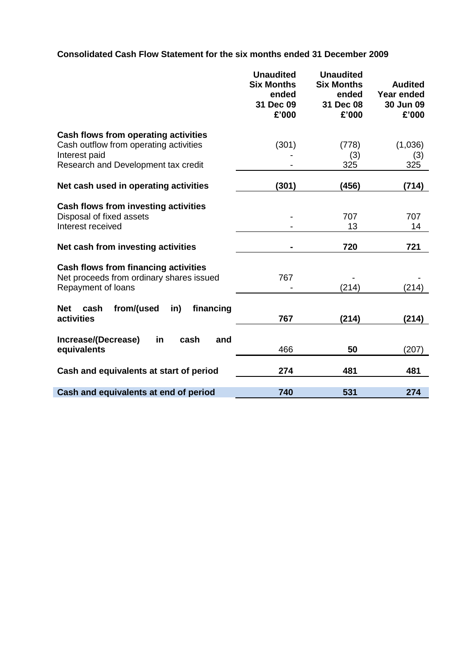**Consolidated Cash Flow Statement for the six months ended 31 December 2009**

|                                                                                  | <b>Unaudited</b><br><b>Six Months</b><br>ended<br>31 Dec 09<br>£'000 | <b>Unaudited</b><br><b>Six Months</b><br>ended<br>31 Dec 08<br>£'000 | <b>Audited</b><br>Year ended<br>30 Jun 09<br>£'000 |
|----------------------------------------------------------------------------------|----------------------------------------------------------------------|----------------------------------------------------------------------|----------------------------------------------------|
| Cash flows from operating activities                                             |                                                                      |                                                                      |                                                    |
| Cash outflow from operating activities                                           | (301)                                                                | (778)                                                                | (1,036)                                            |
| Interest paid                                                                    |                                                                      | (3)                                                                  | (3)                                                |
| Research and Development tax credit                                              |                                                                      | 325                                                                  | 325                                                |
| Net cash used in operating activities                                            | (301)                                                                | (456)                                                                | (714)                                              |
|                                                                                  |                                                                      |                                                                      |                                                    |
| Cash flows from investing activities                                             |                                                                      |                                                                      |                                                    |
| Disposal of fixed assets                                                         |                                                                      | 707                                                                  | 707                                                |
| Interest received                                                                |                                                                      | 13                                                                   | 14                                                 |
| Net cash from investing activities                                               |                                                                      | 720                                                                  | 721                                                |
|                                                                                  |                                                                      |                                                                      |                                                    |
| Cash flows from financing activities<br>Net proceeds from ordinary shares issued | 767                                                                  |                                                                      |                                                    |
| Repayment of loans                                                               |                                                                      | (214)                                                                | (214)                                              |
|                                                                                  |                                                                      |                                                                      |                                                    |
| from/(used<br>financing<br>in)<br><b>Net</b><br>cash                             |                                                                      |                                                                      |                                                    |
| activities                                                                       | 767                                                                  | (214)                                                                | (214)                                              |
|                                                                                  |                                                                      |                                                                      |                                                    |
| Increase/(Decrease)<br>in<br>cash<br>and<br>equivalents                          | 466                                                                  | 50                                                                   | (207)                                              |
|                                                                                  |                                                                      |                                                                      |                                                    |
| Cash and equivalents at start of period                                          | 274                                                                  | 481                                                                  | 481                                                |
|                                                                                  |                                                                      |                                                                      |                                                    |
| Cash and equivalents at end of period                                            | 740                                                                  | 531                                                                  | 274                                                |